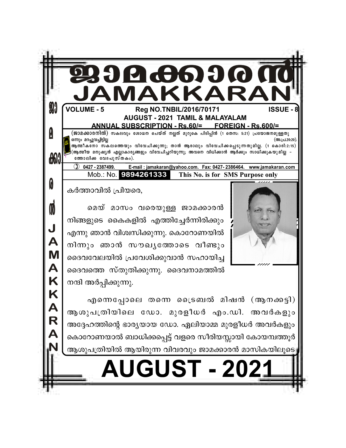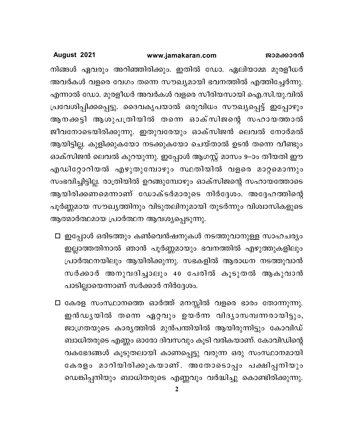നിങ്ങൾ ഏവരും അറിഞ്ഞിരിക്കും. ഇതിൽ ഡോ. ഏലിയാമ്മ മുരളീധർ അവർകൾ വളരെ വേഗം തന്നെ സൗഖ്യമായി ഭവനത്തിൽ എത്തിച്ചേർന്നു. എന്നാൽ ഡോ. മുരളീധർ അവർകൾ വളരെ സീരിയസായി ഐ.സി.യു.വിൽ പ്രവേശിപ്പിക്കപ്പെട്ടു. ദൈവകൃപയാൽ ഒരുവിധം സൗഖ്യപ്പെട്ട് ഇപ്പോഴും ആനക്കട്ടി ആശുപത്രിയിൽ തന്നെ ഓക്സിജന്റെ സഹായത്താൽ ജീവനോടെയിരിക്കുന്നു. ഇതുവരേയും ഓക്സിജൻ ലെവൽ നോർമൽ ആയിട്ടില്ല. കുളിക്കുകയോ നടക്കുകയോ ചെയ്താൽ ഉടൻ തന്നെ വീണ്ടും ഓക്സിജൻ ലെവൽ കുറയുന്നു. ഇപ്പോൾ ആഗസ്റ്റ് മാസം 9–ാം തീയതി ഈ എഡിറ്റോറിയൽ എഴുതുമ്പോഴും സ്ഥതിയിൽ വളരെ മാറ്റമൊന്നും സംഭവിച്ചിട്ടില്ല. രാത്രിയിൽ ഉറങ്ങുമ്പോഴും ഓക്സിജന്റെ സഹായത്തോടെ ആയിരിക്കണമെന്നാണ് ഡോക്ടർമാരുടെ നിർദ്ദേശം. അദ്ദേഹത്തിന്റെ പൂർണ്ണമായ സൗഖ്യത്തിനും വിടുതലിനുമായി തുടർന്നും വിശ്വാസികളുടെ ആത്മാർത്ഥമായ പ്രാർത്ഥന ആവശ്യപ്പെടുന്നു.

- □ ഇപ്പോൾ ഒരിടത്തും കൺവെൻഷനുകൾ നടത്തുവാനുള്ള സാഹചര്യം ഇല്ലാത്തതിനാൽ ഞാൻ പൂർണ്ണമായും ഭവനത്തിൽ എഴുത്തുകളിലും പ്രാർത്ഥനയിലും ആയിരിക്കുന്നു. സഭകളിൽ ആരാധന നടത്തുവാൻ സർക്കാർ അനുവദിച്ചാലും 40 പേരിൽ കൂടുതൽ ആകുവാൻ പാടില്ലായെന്നാണ് സർക്കാർ നിർദ്ദേശം.
- □ കേരള സംസ്ഥാനത്തെ ഓർത്ത് മനസ്സിൽ വളരെ ഭാരം തോന്നുന്നു. ഇൻഡൃയിൽ തന്നെ ഏറ്റവും ഉയർന്ന വിദൃാസമ്പന്നരായിട്ടും, ജാഗ്രതയുടെ കാര്യത്തിൽ മുൻപന്തിയിൽ ആയിരുന്നിട്ടും കോവിഡ് ബാധിതരുടെ എണ്ണം ഓരോ ദിവസവും കൂടി വരികയാണ്. കോവിഡിന്റെ വകഭേദങ്ങൾ കൂടുതലായി കാണപ്പെട്ടു വരുന്ന ഒരു സംസ്ഥാനമായി കേരളം മാറിയിരിക്കുകയാണ്. അതോടൊപ്പം പക്ഷിപ്പനിയും ഡെങ്കിപ്പനിയും ബാധിതരുടെ എണ്ണവും വർദ്ധിച്ചു കൊണ്ടിരിക്കുന്നു.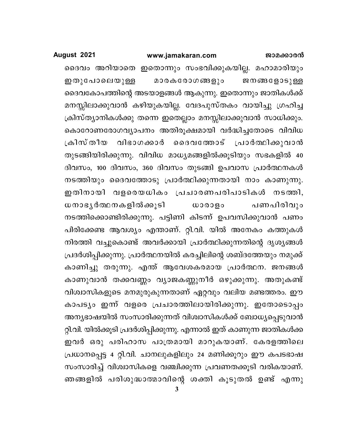### www.jamakaran.com

### August 2021

ദൈവം അറിയാതെ ഇതൊന്നും സംഭവിക്കുകയില്ല. മഹാമാരിയും മാരകരോഗങ്ങളും ഇതുപോലെയുള്ള ജനങ്ങളോടുള്ള ദൈവകോപത്തിന്റെ അടയാളങ്ങൾ ആകുന്നു. ഇതൊന്നും ജാതികൾക്ക് മനസ്സിലാക്കുവാൻ കഴിയുകയില്ല. വേദപുസ്തകം വായിച്ചു ഗ്രഹിച്ച ക്രിസ്ത്യാനികൾക്കു തന്നെ ഇതെല്ലാം മനസ്സിലാക്കുവാൻ സാധിക്കും. കൊറോണരോഗവ്യാപനം അതിരൂക്ഷമായി വർദ്ധിച്ചതോടെ വിവിധ ക്രിസ് തീയ രദെവത്തോട് പ്രാർത്ഥിക്കുവാൻ വിഭാഗക്കാർ തുടങ്ങിയിരിക്കുന്നു. വിവിധ മാധ്യമങ്ങളിൽക്കൂടിയും സഭകളിൽ 40 ദിവസം, 100 ദിവസം, 360 ദിവസം തുടങ്ങി ഉപവാസ പ്രാർത്ഥനകൾ നടത്തിയും ദൈവത്തോടു പ്രാർത്ഥിക്കുന്നതായി നാം കാണുന്നു. ഇതിനായി വളരെയധികം പ്രചാരണപരിപാടികൾ നടത്തി, ധനാഭൃർത്ഥനകളിൽക്കൂടി പണപിരിവും  $\omega$ ooogo നടത്തിക്കൊണ്ടിരിക്കുന്നു. പട്ടിണി കിടന്ന് ഉപവസിക്കുവാൻ പണം പിരിക്കേണ്ട ആവശ്യം എന്താണ്. റ്റി.വി. യിൽ അനേകം കത്തുകൾ നിരത്തി വച്ചുകൊണ്ട് അവർക്കായി പ്രാർത്ഥിക്കുന്നതിന്റെ ദൃശൃങ്ങൾ പ്രദർശിപ്പിക്കുന്നു. പ്രാർത്ഥനയിൽ കരച്ചിലിന്റെ ശബ്ദത്തേയും നമുക്ക് കാണിച്ചു തരുന്നു. എന്ത് ആവേശകരമായ പ്രാർത്ഥന. ജനങ്ങൾ കാണുവാൻ തക്കവണ്ണം വ്യാജകണ്ണുനീർ ഒഴുക്കുന്നു. അതുകണ്ട് വിശ്വാസികളുടെ മനമുരുകുന്നതാണ് ഏറ്റവും വലിയ മണ്ടത്തരം. ഈ കാപട്യം ഇന്ന് വളരെ പ്രചാരത്തിലായിരിക്കുന്നു. ഇതോടൊപ്പം അന്യഭാഷയിൽ സംസാരിക്കുന്നത് വിശ്വാസികൾക്ക് ബോധ്യപ്പെടുവാൻ റ്റി.വി. യിൽക്കൂടി പ്രദർശിപ്പിക്കുന്നു. എന്നാൽ ഇത് കാണുന്ന ജാതികൾക്ക ഇവർ ഒരു പരിഹാസ പാത്രമായി മാറുകയാണ്. കേരളത്തിലെ പ്രധാനപ്പെട്ട 4 റ്റി.വി. ചാനലുകളിലും 24 മണിക്കൂറും ഈ കപടഭാഷ സംസാരിച്ച് വിശ്വാസികളെ വഞ്ചിക്കുന്ന പ്രവണതക്കൂടി വരികയാണ്. ഞങ്ങളിൽ പരിശുദ്ധാത്മാവിന്റെ ശക്തി കൂടുതൽ ഉണ്ട് എന്നു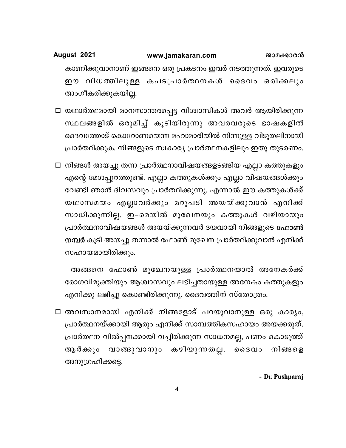### August 2021 www.jamakaran.com ജാമക്കാരൻ കാണിക്കുവാനാണ് ഇങ്ങനെ ഒരു പ്രകടനം ഇവർ നടത്തുന്നത്. ഇവരുടെ ഈ വിധത്തിലുള്ള കപടപ്രാർത്ഥനകൾ ദൈവം ഒരിക്കലും അംഗീകരിക്കുകയില്ല.

- □ യഥാർത്ഥമായി മാനസാന്തരപ്പെട്ട വിശ്വാസികൾ അവർ ആയിരിക്കുന്ന സ്ഥലങ്ങളിൽ ഒരുമിച്ച് കൂടിയിരുന്നു അവരവരുടെ ഭാഷകളിൽ ദൈവത്തോട് കൊറോണയെന്ന മഹാമാരിയിൽ നിന്നുള്ള വിടുതലിനായി പ്രാർത്ഥിക്കുക. നിങ്ങളുടെ സ്വകാര്യ പ്രാർത്ഥനകളിലും ഇതു തുടരണം.
- □ നിങ്ങൾ അയച്ചു തന്ന പ്രാർത്ഥനാവിഷയങ്ങളടങ്ങിയ എല്ലാ കത്തുകളും എന്റെ മേശപ്പുറത്തുണ്ട്. എല്ലാ കത്തുകൾക്കും എല്ലാ വിഷയങ്ങൾക്കും വേണ്ടി ഞാൻ ദിവസവും പ്രാർത്ഥിക്കുന്നു. എന്നാൽ ഈ കത്തുകൾക്ക് യഥാസമയം എല്ലാവർക്കും മറുപടി അയയ്ക്കുവാൻ എനിക്ക് സാധിക്കുന്നില്ല. ഇ–മെയിൽ മുഖേനയും കത്തുകൾ വഴിയായും പ്രാർത്ഥനാവിഷയങ്ങൾ അയയ്ക്കുന്നവർ ദയവായി നിങ്ങളുടെ <mark>ഫോൺ</mark> നമ്പർ കൂടി അയച്ചു തന്നാൽ ഫോൺ മുഖേന പ്രാർത്ഥിക്കുവാൻ എനിക്ക് സഹായമായിരിക്കും.

അങ്ങനെ ഫോൺ മുഖേനയുള്ള പ്രാർത്ഥനയാൽ അനേകർക്ക് രോഗവിമുക്തിയും ആശ്വാസവും ലഭിച്ചതായുള്ള അനേകം കത്തുകളും എനിക്കു ലഭിച്ചു കൊണ്ടിരിക്കുന്നു. ദൈവത്തിന് സ്തോത്രം.

□ അവസാനമായി എനിക്ക് നിങ്ങളോട് പറയുവാനുള്ള ഒരു കാര്യം, പ്രാർത്ഥനയ്ക്കായി ആരും എനിക്ക് സാമ്പത്തികസഹായം അയക്കരുത്. പ്രാർത്ഥന വിൽപ്പനക്കായി വച്ചിരിക്കുന്ന സാധനമല്ല, പണം കൊടുത്ത് വാങ്ങുവാനും കഴിയുന്നതല്ല. ദൈവം ആ ർക്കും നിങ്ങളെ അനുഗ്രഹിക്കട്ടെ.

- Dr. Pushparaj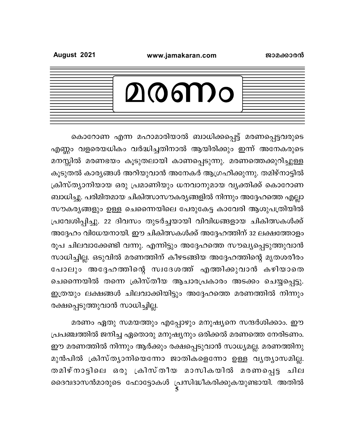### www.jamakaran.com

| ൧൫൏൮<br>$\boldsymbol{U}$ |  |
|--------------------------|--|
|                          |  |

കൊറോണ എന്ന മഹാമാരിയാൽ ബാധിക്കപ്പെട്ട് മരണപ്പെട്ടവരുടെ എണ്ണം വളരെയധികം വർദ്ധിച്ചതിനാൽ ആയിരിക്കും ഇന്ന് അനേകരുടെ മനസ്സിൽ മരണഭയം കൂടുതലായി കാണപ്പെടുന്നു. മരണത്തെക്കുറിച്ചുള്ള കൂടുതൽ കാര്യങ്ങൾ അറിയുവാൻ അനേകർ ആഗ്രഹിക്കുന്നു. തമിഴ്നാട്ടിൽ ക്രിസ്ത്യാനിയായ ഒരു പ്രമാണിയും ധനവാനുമായ വ്യക്തിക്ക് കൊറോണ ബാധിച്ചു. പരിമിതമായ ചികിത്സാസൗകര്യങ്ങളിൽ നിന്നും അദ്ദേഹത്തെ എല്ലാ സൗകര്യങ്ങളും ഉള്ള ചെന്നൈയിലെ പേരുകേട്ട കാവേരി ആശുപത്രിയിൽ പ്രവേശിപ്പിച്ചു. 22 ദിവസം തുടർച്ചയായി വിവിധങ്ങളായ ചികിത്സകൾക്ക് അദ്ദേഹം വിധേയനായി. ഈ ചികിത്സകൾക്ക് അദ്ദേഹത്തിന് 32 ലക്ഷത്തോളം രൂപ ചിലവാക്കേണ്ടി വന്നു. എന്നിട്ടും അദ്ദേഹത്തെ സൗഖ്യപ്പെടുത്തുവാൻ സാധിച്ചില്ല. ഒടുവിൽ മരണത്തിന് കീഴടങ്ങിയ അദ്ദേഹത്തിന്റെ മൃതശരീരം പോലും അദ്ദേഹത്തിന്റെ സ്വദേശത്ത് എത്തിക്കുവാൻ കഴിയാതെ ചെന്നൈയിൽ തന്നെ ക്രിസ്തീയ ആചാരപ്രകാരം അടക്കം ചെയ്യപ്പെട്ടു. ഇത്രയും ലക്ഷങ്ങൾ ചിലവാക്കിയിട്ടും അദ്ദേഹത്തെ മരണത്തിൽ നിന്നും രക്ഷപ്പെടുത്തുവാൻ സാധിച്ചില്ല.

മരണം ഏതു സമയത്തും എപ്പോഴും മനുഷ്യനെ സന്ദർശിക്കാം. ഈ പ്രപഞ്ചത്തിൽ ജനിച്ച ഏതൊരു മനുഷ്യനും ഒരിക്കൽ മരണത്തെ നേരിടണം. ഈ മരണത്തിൽ നിന്നും ആർക്കും രക്ഷപ്പെടുവാൻ സാധ്യമല്ല. മരണത്തിനു മുൻപിൽ ക്രിസ്ത്യാനിയെന്നോ ജാതികളെന്നോ ഉള്ള വ്യത്യാസമില്ല. തമിഴ്നാട്ടിലെ ഒരു ക്രിസ്തീയ മാസികയിൽ മരണപ്പെട്ട ചില ദൈവദാസൻമാരുടെ ഫോട്ടോകൾ പ്രസിദ്ധീകരിക്കുകയുണ്ടായി. അതിൽ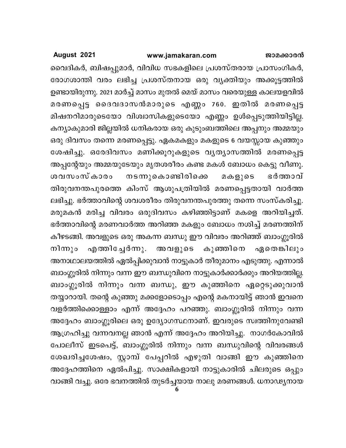വൈദികർ, ബിഷപ്പുമാർ, വിവിധ സഭകളിലെ പ്രശസ്തരായ പ്രാസംഗികർ, രോഗശാന്തി വരം ലഭിച്ച പ്രശസ്തനായ ഒരു വ്യക്തിയും അക്കൂട്ടത്തിൽ ഉണ്ടായിരുന്നു. 2021 മാർച്ച് മാസം മുതൽ മെയ് മാസം വരെയുള്ള കാലയളവിൽ മരണപ്പെട്ട ദൈവദാസൻമാരുടെ എണ്ണം 760. ഇതിൽ മരണപ്പെട്ട മിഷനറിമാരുടെയോ വിശ്വാസികളുടെയോ എണ്ണം ഉൾപ്പെടുത്തിയിട്ടില്ല. കന്യാകുമാരി ജില്ലയിൽ ധനികരായ ഒരു കുടുംബത്തിലെ അപ്പനും അമ്മയും ഒരു ദിവസം തന്നെ മരണപ്പെട്ടു. ഏകമകളും മകളുടെ 6 വയസ്സായ കുഞ്ഞും ശേഷിച്ചു. ഒരേദിവസം മണിക്കൂറുകളുടെ വൃത്യാസത്തിൽ മരണപ്പെട്ട അപ്പന്റേയും അമ്മയുടേയും മൃതശരീരം കണ്ട മകൾ ബോധം കെട്ടു വീണു. നടന്നുകൊണ്ടിരിക്കെ ശവസംസ്കാരം മകളുടെ ഭർത്താവ് തിരുവനന്തപുരത്തെ കിംസ് ആശുപത്രിയിൽ മരണപ്പെട്ടതായി വാർത്ത ലഭിച്ചു. ഭർത്താവിന്റെ ശവശരീരം തിരുവനന്തപുരത്തു തന്നെ സംസ്കരിച്ചു. മരുമകൻ മരിച്ച വിവരം ഒരുദിവസം കഴിഞ്ഞിട്ടാണ് മകളെ അറിയിച്ചത്. ഭർത്താവിന്റെ മരണവാർത്ത അറിഞ്ഞ മകളും ബോധം നശിച്ച് മരണത്തിന് കീഴടങ്ങി. അവളുടെ ഒരു അകന്ന ബന്ധു ഈ വിവരം അറിഞ്ഞ് ബാംഗ്ലൂരിൽ നിന്നും എത്തിച്ചേർന്നു. അവളുടെ കുഞ്ഞിനെ ഏതെങ്കിലും അനാഥാലയത്തിൽ ഏൽപ്പിക്കുവാൻ നാട്ടുകാർ തീരുമാനം എടുത്തു. എന്നാൽ ബാംഗ്ലൂരിൽ നിന്നും വന്ന ഈ ബന്ധുവിനെ നാട്ടുകാർക്കാർക്കും അറിയത്തില്ല. ബാംഗ്ലൂരിൽ നിന്നും വന്ന ബന്ധു, ഈ കുഞ്ഞിനെ ഏറ്റെടുക്കുവാൻ തയ്യാറായി. തന്റെ കുഞ്ഞു മക്കളോടൊപ്പം എന്റെ മകനായിട്ട് ഞാൻ ഇവനെ വളർത്തിക്കൊള്ളാം എന്ന് അദ്ദേഹം പറഞ്ഞു. ബാംഗ്ലൂരിൽ നിന്നും വന്ന അദ്ദേഹം ബാംഗ്ലൂരിലെ ഒരു ഉദ്യോഗസ്ഥനാണ്. ഇവരുടെ സ്വത്തിനുവേണ്ടി ആഗ്രഹിച്ചു വന്നവനല്ല ഞാൻ എന്ന് അദ്ദേഹം അറിയിച്ചു. നാഗർകോവിൽ പോലീസ് ഇടപെട്ട്, ബാംഗ്ലൂരിൽ നിന്നും വന്ന ബന്ധുവിന്റെ വിവരങ്ങൾ ശേഖരിച്ചശേഷം, സ്റ്റാമ്പ് പേപ്പറിൽ എഴുതി വാങ്ങി ഈ കുഞ്ഞിനെ അദ്ദേഹത്തിനെ ഏൽപിച്ചു. സാക്ഷികളായി നാട്ടുകാരിൽ ചിലരുടെ ഒപ്പും വാങ്ങി വച്ചു. ഒരേ ഭവനത്തിൽ തുടർച്ചയായ നാലു മരണങ്ങൾ. ധനാഢ്യനായ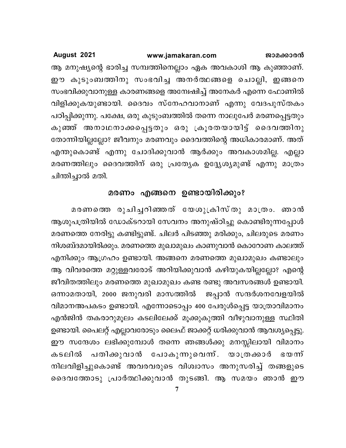ആ മനുഷ്യന്റെ ഭാരിച്ച സമ്പത്തിനെല്ലാം ഏക അവകാശി ആ കുഞ്ഞാണ്. ഈ കുടുംബത്തിനു സംഭവിച്ച അനർത്ഥങ്ങളെ ചൊല്ലി, ഇങ്ങനെ സംഭവിക്കുവാനുള്ള കാരണങ്ങളെ അന്വേഷിച്ച് അനേകർ എന്നെ ഫോണിൽ വിളിക്കുകയുണ്ടായി. ദൈവം സ്നേഹവാനാണ് എന്നു വേദപുസ്തകം പഠിപ്പിക്കുന്നു. പക്ഷേ, ഒരു കുടുംബത്തിൽ തന്നെ നാലുപേർ മരണപ്പെട്ടതും കുഞ്ഞ് അനാഥനാക്കപ്പെട്ടതും ഒരു ക്രൂരതയായിട്ട് ദൈവത്തിനു തോന്നിയില്ലല്ലോ? ജീവനും മരണവും ദൈവത്തിന്റെ അധികാരമാണ്. അത് എന്തുകൊണ്ട് എന്നു ചോദിക്കുവാൻ ആർക്കും അവകാശമില്ല. എല്ലാ മരണത്തിലും ദൈവത്തിന് ഒരു പ്രത്യേക ഉദ്ദ്യേശ്യമുണ്ട് എന്നു മാത്രം ചിന്തിച്ചാൽ മതി.

## മരണം എങ്ങനെ ഉണ്ടായിരിക്കും?

മരണത്തെ രുചിച്ചറിഞ്ഞത് യേശുക്രിസ്തു മാത്രം. ഞാൻ ആശുപത്രിയിൽ ഡോക്ടറായി സേവനം അനുഷ്ഠിച്ചു കൊണ്ടിരുന്നപ്പോൾ മരണത്തെ നേരിട്ടു കണ്ടിട്ടുണ്ട്. ചിലർ പിടഞ്ഞു മരിക്കും, ചിലരുടെ മരണം നിശബ്ദമായിരിക്കും. മരണത്തെ മുഖാമുഖം കാണുവാൻ കൊറോണ കാലത്ത് എനിക്കും ആഗ്രഹം ഉണ്ടായി. അങ്ങനെ മരണത്തെ മുഖാമുഖം കണ്ടാലും ആ വിവരത്തെ മറ്റുള്ളവരോട് അറിയിക്കുവാൻ കഴിയുകയില്ലല്ലോ? എന്റെ ജീവിതത്തിലും മരണത്തെ മുഖാമുഖം കണ്ട രണ്ടു അവസരങ്ങൾ ഉണ്ടായി. ഒന്നാമതായി, 2000 ജനുവരി മാസത്തിൽ ജപ്പാൻ സന്ദർശനവേളയിൽ വിമാനഅപകടം ഉണ്ടായി. എന്നോടൊപ്പം 400 പേരുൾപ്പെട്ട യാത്രാവിമാനം എൻജിൻ തകരാറുമൂലം കടലിലേക്ക് മൂക്കുകുത്തി വീഴുവാനുള്ള സ്ഥിതി ഉണ്ടായി. പൈലറ്റ് എല്ലാവരോടും ലൈഫ് ജാക്കറ്റ് ധരിക്കുവാൻ ആവശ്യപ്പെട്ടു. ഈ സന്ദേശം ലഭിക്കുമ്പോൾ തന്നെ ഞങ്ങൾക്കു മനസ്സിലായി വിമാനം കടലിൽ പതിക്കുവാൻ പോകുന്നുവെന്ന്. യാത്രക്കാർ ഭയന്ന് നിലവിളിച്ചുകൊണ്ട് അവരവരുടെ വിശ്വാസം അനുസരിച്ച് തങ്ങളുടെ ദൈവത്തോടു പ്രാർത്ഥിക്കുവാൻ തുടങ്ങി. ആ സമയം ഞാൻ ഈ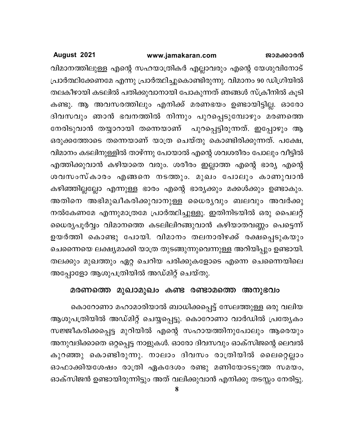#### www.jamakaran.com ജാമക്കാരൻ

August 2021

വിമാനത്തിലുള്ള എന്റെ സഹയാത്രികർ എല്ലാവരും എന്റെ യേശുവിനോട് പ്രാർത്ഥിക്കേണമേ എന്നു പ്രാർത്ഥിച്ചുകൊണ്ടിരുന്നു. വിമാനം 90 ഡിഗ്രിയിൽ തലകീഴായി കടലിൽ പതിക്കുവാനായി പോകുന്നത് ഞങ്ങൾ സ്ക്രീനിൽ കൂടി കണ്ടു. ആ അവസരത്തിലും എനിക്ക് മരണഭയം ഉണ്ടായിട്ടില്ല. ഓരോ ദിവസവും ഞാൻ ഭവനത്തിൽ നിന്നും പുറപ്പെടുമ്പോഴും മരണത്തെ നേരിടുവാൻ തയ്യാറായി തന്നെയാണ് പുറപ്പെട്ടിരുന്നത്. ഇപ്പോഴും ആ ഒരുക്കത്തോടെ തന്നെയാണ് യാത്ര ചെയ്തു കൊണ്ടിരിക്കുന്നത്. പക്ഷേ, വിമാനം കടലിനുള്ളിൽ താഴ്ന്നു പോയാൽ എന്റെ ശവശരീരം പോലും വീട്ടിൽ എത്തിക്കുവാൻ കഴിയാതെ വരും. ശരീരം ഇല്ലാത്ത എന്റെ ഭാര്യ എന്റെ ശവസംസ്കാരം എങ്ങനെ നടത്തും. മുഖം പോലും കാണുവാൻ കഴിഞ്ഞില്ലല്ലോ എന്നുള്ള ഭാരം എന്റെ ഭാര്യക്കും മക്കൾക്കും ഉണ്ടാകും. അതിനെ അഭിമുഖീകരിക്കുവാനുള്ള ധൈര്യവും ബലവും അവർക്കു നൽകേണമേ എന്നുമാത്രമേ പ്രാർത്ഥിച്ചുള്ളൂ. ഇതിനിടയിൽ ഒരു പൈലറ്റ് ധൈര്യപൂർവ്വം വിമാനത്തെ കടലിലിറങ്ങുവാൻ കഴിയാതവണ്ണം പെട്ടെന്ന് ഉയർത്തി കൊണ്ടു പോയി. വിമാനം തലനാരിഴക്ക് രക്ഷപ്പെടുകയും ചെന്നൈയെ ലക്ഷ്യമാക്കി യാത്ര തുടങ്ങുന്നുവെന്നുള്ള അറിയിപ്പും ഉണ്ടായി. തലക്കും മുഖത്തും ഏറ്റ ചെറിയ പരിക്കുകളോടെ എന്നെ ചെന്നൈയിലെ അപ്പോളോ ആശുപത്രിയിൽ അഡ്മിറ്റ് ചെയ്തു.

### മരണത്തെ മുഖാമുഖം കണ്ട രണ്ടാമത്തെ അനുഭവം

കൊറോണാ മഹാമാരിയാൽ ബാധിക്കപ്പെട്ട് സേലത്തുള്ള ഒരു വലിയ ആശുപത്രിയിൽ അഡ്മിറ്റ് ചെയ്യപ്പെട്ടു. കൊറോണാ വാർഡിൽ പ്രത്യേകം സജ്ജീകരിക്കപ്പെട്ട മുറിയിൽ എന്റെ സഹായത്തിനുപോലും ആരെയും അനുവദിക്കാതെ ഒറ്റപ്പെട്ട നാളുകൾ. ഓരോ ദിവസവും ഓക്സിജന്റെ ലെവൽ കുറഞ്ഞു കൊണ്ടിരുന്നു. നാലാം ദിവസം രാത്രിയിൽ ലൈറ്റെല്ലാം ഓഫാക്കിയശേഷം രാത്രി ഏകദേശം രണ്ടു മണിയോടടുത്ത സമയം, ഓക്സിജൻ ഉണ്ടായിരുന്നിട്ടും അത് വലിക്കുവാൻ എനിക്കു തടസ്സം നേരിട്ടു.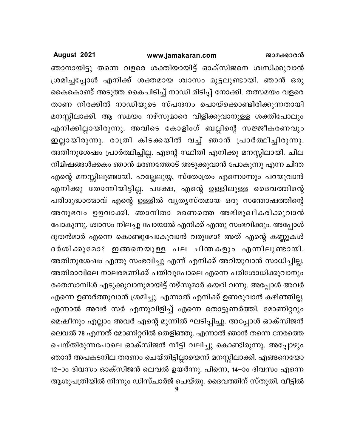### www.jamakaran.com

### August 2021

ഞാനായിട്ടു തന്നെ വളരെ ശക്തിയായിട്ട് ഓക്സിജനെ ശ്വസിക്കുവാൻ ശ്രമിച്ചപ്പോൾ എനിക്ക് ശക്തമായ ശ്വാസം മുട്ടലുണ്ടായി. ഞാൻ ഒരു കൈകൊണ്ട് അടുത്ത കൈപിടിച്ച് നാഡി മിടിപ്പ് നോക്കി. തത്സമയം വളരെ താണ നിരക്കിൽ നാഡിയുടെ സ്പന്ദനം പൊയ്ക്കൊണ്ടിരിക്കുന്നതായി മനസ്സിലാക്കി. ആ സമയം നഴ്സുമാരെ വിളിക്കുവാനുള്ള ശക്തിപോലും എനിക്കില്ലായിരുന്നു. അവിടെ കോളിംഗ് ബല്ലിന്റെ സജ്ജീകരണവും ഇല്ലായിരുന്നു. രാത്രി കിടക്കയിൽ വച്ച് ഞാൻ പ്രാർത്ഥിച്ചിരുന്നു. അതിനുശേഷം പ്രാർത്ഥിച്ചില്ല. എന്റെ സ്ഥിതി എനിക്കു മനസ്സിലായി. ചില നിമിഷങ്ങൾക്കകം ഞാൻ മരണത്തോട് അടുക്കുവാൻ പോകുന്നു എന്ന ചിന്ത എന്റെ മനസ്സിലുണ്ടായി. ഹല്ലേലൂയ്യ, സ്തോത്രം എന്നൊന്നും പറയുവാൻ എനിക്കു തോന്നിയിട്ടില്ല. പക്ഷേ, എന്റെ ഉള്ളിലുള്ള ദൈവത്തിന്റെ പരിശുദ്ധാത്മാവ് എന്റെ ഉള്ളിൽ വൃതൃസ്തമായ ഒരു സന്തോഷത്തിന്റെ അനുഭവം ഉളവാക്കി. ഞാനിതാ മരണത്തെ അഭിമുഖീകരിക്കുവാൻ പോകുന്നു. ശ്വാസം നിലച്ചു പോയാൽ എനിക്ക് എന്തു സംഭവിക്കും. അപ്പോൾ ദൂതൻമാർ എന്നെ കൊണ്ടുപോകുവാൻ വരുമോ? അത് എന്റെ കണ്ണുകൾ ദർശിക്കുമോ? ഇങ്ങനെയുള്ള പല ചിന്തകളും എന്നിലുണ്ടായി. അതിനുശേഷം എന്തു സംഭവിച്ചു എന്ന് എനിക്ക് അറിയുവാൻ സാധിച്ചില്ല. അതിരാവിലെ നാലരമണിക്ക് പതിവുപോലെ എന്നെ പരിശോധിക്കുവാനും രക്തസാമ്പിൾ എടുക്കുവാനുമായിട്ട് നഴ്സുമാർ കയറി വന്നു. അപ്പോൾ അവർ എന്നെ ഉണർത്തുവാൻ ശ്രമിച്ചു. എന്നാൽ എനിക്ക് ഉണരുവാൻ കഴിഞ്ഞില്ല. എന്നാൽ അവർ സർ എന്നുവിളിച്ച് എന്നെ തൊട്ടുണർത്തി. മോണിറ്ററും മെഷീനും എല്ലാം അവർ എന്റെ മുന്നിൽ ഘടിപ്പിച്ചു. അപ്പോൾ ഓക്സിജൻ ലെവൽ 78 എന്നത് മോണിറ്ററിൽ തെളിഞ്ഞു. എന്നാൽ ഞാൻ തന്നെ നേരത്തെ ചെയ്തിരുന്നപോലെ ഓക്സിജൻ നീട്ടി വലിച്ചു കൊണ്ടിരുന്നു. അപ്പോഴും ഞാൻ അപകടനില തരണം ചെയ്തിട്ടില്ലായെന്ന് മനസ്സിലാക്കി. എങ്ങനെയോ 12–ാം ദിവസം ഓക്സിജൻ ലെവൽ ഉയർന്നു. പിന്നെ, 14–ാം ദിവസം എന്നെ ആശുപത്രിയിൽ നിന്നും ഡിസ്ചാർജ് ചെയ്തു. ദൈവത്തിന് സ്തുതി. വീട്ടിൽ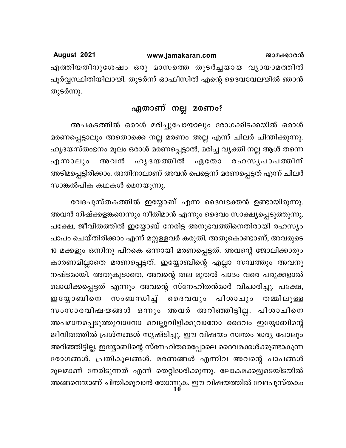August 2021 www.jamakaran.com ജാമക്കാരൻ എത്തിയതിനുശേഷം ഒരു മാസത്തെ തുടർച്ചയായ വ്യായാമത്തിൽ പൂർവ്വസ്ഥിതിയിലായി. തുടർന്ന് ഓഫീസിൽ എന്റെ ദൈവവേലയിൽ ഞാൻ തുടർന്നു.

## ഏതാണ് നല്ല മരണം?

അപകടത്തിൽ ഒരാൾ മരിച്ചുപോയാലും രോഗക്കിടക്കയിൽ ഒരാൾ മരണപ്പെട്ടാലും അതൊക്കെ നല്ല മരണം അല്ല എന്ന് ചിലർ ചിന്തിക്കുന്നു. ഹൃദയസ്തംഭനം മൂലം ഒരാൾ മരണപ്പെട്ടാൽ, മരിച്ച വ്യക്തി നല്ല ആൾ തന്നെ ഹൃദയത്തിൽ എന്നാലും അ വൻ ഏതോ രഹസൃപാപത്തിന് അടിമപ്പെട്ടിരിക്കാം. അതിനാലാണ് അവൻ പെട്ടെന്ന് മരണപ്പെട്ടത് എന്ന് ചിലർ സാങ്കൽപിക കഥകൾ മെനയുന്നു.

വേദപുസ്തകത്തിൽ ഇയ്യോബ് എന്ന ദൈവഭക്തൻ ഉണ്ടായിരുന്നു. അവൻ നിഷ്ക്കളങ്കനെന്നും നീതിമാൻ എന്നും ദൈവം സാക്ഷ്യപ്പെടുത്തുന്നു. പക്ഷേ, ജീവിതത്തിൽ ഇയ്യോബ് നേരിട്ട അനുഭവത്തിനെതിരായി രഹസ്യം പാപം ചെയ്തിരിക്കാം എന്ന് മറ്റുള്ളവർ കരുതി. അതുകൊണ്ടാണ്, അവരുടെ 10 മക്കളും ഒന്നിനു പിറകെ ഒന്നായി മരണപ്പെട്ടത്. അവന്റെ ജോലിക്കാരും കാരണമില്ലാതെ മരണപ്പെട്ടത്. ഇയ്യോബിന്റെ എല്ലാ സമ്പത്തും അവനു നഷ്ടമായി. അതുകൂടാതെ, അവന്റെ തല മുതൽ പാദം വരെ പരുക്കളാൽ ബാധിക്കപ്പെട്ടത് എന്നും അവന്റെ സ്നേഹിതൻമാർ വിചാരിച്ചു. പക്ഷേ, സംബന്ധിച്ച് ദൈവവും പിശാചും ഇയ്യോബിനെ തമ്മിലുള്ള സംസാരവിഷയങ്ങൾ ഒന്നും അവർ അറിഞ്ഞിട്ടില്ല. പിശാചിനെ അപമാനപ്പെടുത്തുവാനോ വെല്ലുവിളിക്കുവാനോ ദൈവം ഇയ്യോബിന്റെ ജീവിതത്തിൽ പ്രശ്നങ്ങൾ സൃഷ്ടിച്ചു. ഈ വിഷയം സ്വന്തം ഭാര്യ പോലും അറിഞ്ഞിട്ടില്ല. ഇയ്യോബിന്റെ സ്നേഹിതരെപ്പോലെ ദൈവമക്കൾക്കുണ്ടാകുന്ന രോഗങ്ങൾ, പ്രതികൂലങ്ങൾ, മരണങ്ങൾ എന്നിവ അവന്റെ പാപങ്ങൾ മൂലമാണ് നേരിടുന്നത് എന്ന് തെറ്റിദ്ധരിക്കുന്നു. ലോകമക്കളുടെയിടയിൽ അങ്ങനെയാണ് ചിന്തിക്കുവാൻ തോന്നുക. ഈ വിഷയത്തിൽ വേദപുസ്തകം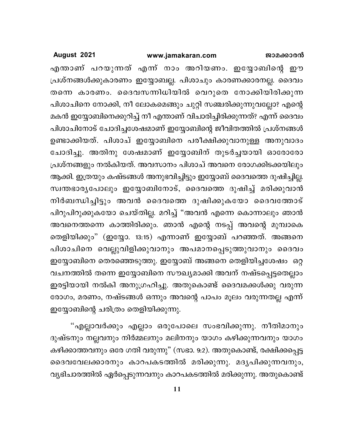### www.jamakaran.com

August 2021

എന്താണ് പറയുന്നത് എന്ന് നാം അറിയണം. ഇയ്യോബിന്റെ ഈ പ്രശ്നങ്ങൾക്കുകാരണം ഇയ്യോബല്ല. പിശാചും കാരണക്കാരനല്ല. ദൈവം തന്നെ കാരണം. ദൈവസന്നിധിയിൽ വെറുതെ നോക്കിയിരിക്കുന്ന പിശാചിനെ നോക്കി, നീ ലോകമെങ്ങും ചുറ്റി സഞ്ചരിക്കുന്നുവല്ലോ? എന്റെ മകൻ ഇയ്യോബിനെക്കുറിച്ച് നീ എന്താണ് വിചാരിച്ചിരിക്കുന്നത്? എന്ന് ദൈവം പിശാചിനോട് ചോദിച്ചശേഷമാണ് ഇയ്യോബിന്റെ ജീവിതത്തിൽ പ്രശ്നങ്ങൾ ഉണ്ടാക്കിയത്. പിശാച് ഇയ്യോബിനെ പരീക്ഷിക്കുവാനുള്ള അനുവാദം ചോദിച്ചു. അതിനു ശേഷമാണ് ഇയ്യോബിന് തുടർച്ചയായി ഓരോരോ പ്രശ്നങ്ങളും നൽകിയത്. അവസാനം പിശാച് അവനെ രോഗക്കിടക്കയിലും ആക്കി. ഇത്രയും കഷ്ടങ്ങൾ അനുഭവിച്ചിട്ടും ഇയ്യോബ് ദൈവത്തെ ദുഷിച്ചില്ല. സ്വന്തഭാര്യപോലും ഇയ്യോബിനോട്, ദൈവത്തെ ദുഷിച്ച് മരിക്കുവാൻ നിർബന്ധിച്ചിട്ടും അവൻ ദൈവത്തെ ദുഷിക്കുകയോ ദൈവത്തോട് പിറുപിറുക്കുകയോ ചെയ്തില്ല. മറിച്ച് "അവൻ എന്നെ കൊന്നാലും ഞാൻ അവനെത്തന്നെ കാത്തിരിക്കും. ഞാൻ എന്റെ നടപ്പ് അവന്റെ മുമ്പാകെ തെളിയിക്കും" (ഇയ്യോ. 13:15) എന്നാണ് ഇയ്യോബ് പറഞ്ഞത്. അങ്ങനെ പിശാചിനെ വെല്ലുവിളിക്കുവാനും അപമാനപ്പെടുത്തുവാനും ദൈവം ഇയ്യോബിനെ തെരഞ്ഞെടുത്തു. ഇയ്യോബ് അങ്ങനെ തെളിയിച്ചശേഷം ഒറ്റ വചനത്തിൽ തന്നെ ഇയ്യോബിനെ സൗഖ്യമാക്കി അവന് നഷ്ടപ്പെട്ടതെല്ലാം ഇരട്ടിയായി നൽകി അനുഗ്രഹിച്ചു. അതുകൊണ്ട് ദൈവമക്കൾക്കു വരുന്ന രോഗം, മരണം, നഷ്ടങ്ങൾ ഒന്നും അവന്റെ പാപം മൂലം വരുന്നതല്ല എന്ന് ഇയ്യോബിന്റെ ചരിത്രം തെളിയിക്കുന്നു.

"എല്ലാവർക്കും എല്ലാം ഒരുപോലെ സംഭവിക്കുന്നു. നീതിമാനും ദുഷ്ടനും നല്ലവനും നിർമ്മലനും മലിനനും യാഗം കഴിക്കുന്നവനും യാഗം കഴിക്കാത്തവനും ഒരേ ഗതി വരുന്നു" (സഭാ. 9:2). അതുകൊണ്ട്, രക്ഷിക്കപ്പെട്ട ദൈവവേലക്കാരനും കാറപകടത്തിൽ മരിക്കുന്നു. മദൃപിക്കുന്നവനും, വ്യഭിചാരത്തിൽ ഏർപ്പെടുന്നവനും കാറപകടത്തിൽ മരിക്കുന്നു. അതുകൊണ്ട്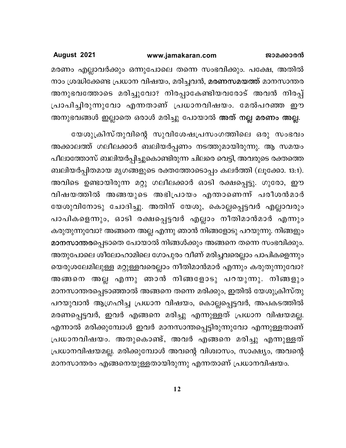മരണം എല്ലാവർക്കും ഒന്നുപോലെ തന്നെ സംഭവിക്കും. പക്ഷേ, അതിൽ നാം ശ്രദ്ധിക്കേണ്ട പ്രധാന വിഷയം, മരിച്ചവൻ, മരണസമയത്ത് മാനസാന്തര അനുഭവത്തോടെ മരിച്ചുവോ? നിരപ്പാകേണ്ടിയവരോട് അവൻ നിരപ്പ് പ്രാപിച്ചിരുന്നുവോ എന്നതാണ് പ്രധാനവിഷയം. മേൽപറഞ്ഞ ഈ അനുഭവങ്ങൾ ഇല്ലാതെ ഒരാൾ മരിച്ചു പോയാൽ അത് നല്ല മരണം അല്ല.

യേശുക്രിസ്തുവിന്റെ സുവിശേഷപ്രസംഗത്തിലെ ഒരു സംഭവം അക്കാലത്ത് ഗലീലക്കാർ ബലിയർപ്പണം നടത്തുമായിരുന്നു. ആ സമയം പീലാത്തോസ് ബലിയർപ്പിച്ചുകൊണ്ടിരുന്ന ചിലരെ വെട്ടി, അവരുടെ രക്തത്തെ ബലിയർപ്പിതമായ മൃഗങ്ങളുടെ രക്തത്തോടൊപ്പം കലർത്തി (ലൂക്കോ. 13:1). അവിടെ ഉണ്ടായിരുന്ന മറ്റു ഗലീലക്കാർ ഓടി രക്ഷപ്പെട്ടു. ഗുരോ, ഈ വിഷയത്തിൽ അങ്ങയുടെ അഭിപ്രായം എന്താണെന്ന് പരീശൻമാർ യേശുവിനോടു ചോദിച്ചു. അതിന് യേശു, കൊല്ലപ്പെട്ടവർ എല്ലാവരും പാപികളെന്നും, ഓടി രക്ഷപ്പെട്ടവർ എല്ലാം നീതിമാൻമാർ എന്നും കരുതുന്നുവോ? അങ്ങനെ അല്ല എന്നു ഞാൻ നിങ്ങളോടു പറയുന്നു. നിങ്ങളും മാനസാന്തരപ്പെടാതെ പോയാൽ നിങ്ങൾക്കും അങ്ങനെ തന്നെ സംഭവിക്കും. അതുപോലെ ശീലോഹാമിലെ ഗോപുരം വീണ് മരിച്ചവരെല്ലാം പാപികളെന്നും യെരുശലേമിലുള്ള മറ്റുള്ളവരെല്ലാം നീതിമാൻമാർ എന്നും കരുതുന്നുവോ? അങ്ങനെ അല്ല എന്നു ഞാൻ നിങ്ങളോടു പറയുന്നു. നിങ്ങളും മാനസാന്തരപ്പെടാഞ്ഞാൽ അങ്ങനെ തന്നെ മരിക്കും, ഇതിൽ യേശുക്രിസ്തു പറയുവാൻ ആഗ്രഹിച്ച പ്രധാന വിഷയം, കൊല്ലപ്പെട്ടവർ, അപകടത്തിൽ മരണപ്പെട്ടവർ, ഇവർ എങ്ങനെ മരിച്ചു എന്നുള്ളത് പ്രധാന വിഷയമല്ല. എന്നാൽ മരിക്കുമ്പോൾ ഇവർ മാനസാന്തപ്പെട്ടിരുന്നുവോ എന്നുള്ളതാണ് പ്രധാനവിഷയം. അതുകൊണ്ട്, അവർ എങ്ങനെ മരിച്ചു എന്നുള്ളത് പ്രധാനവിഷയമല്ല. മരിക്കുമ്പോൾ അവന്റെ വിശ്വാസം, സാക്ഷ്യം, അവന്റെ മാനസാന്തരം എങ്ങനെയുള്ളതായിരുന്നു എന്നതാണ് പ്രധാനവിഷയം.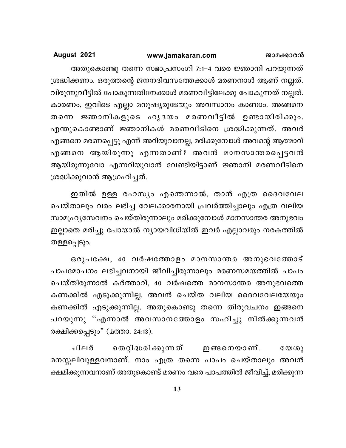അതുകൊണ്ടു തന്നെ സഭാപ്രസംഗി 7:1–4 വരെ ജ്ഞാനി പറയുന്നത് ശ്രദ്ധിക്കണം. ഒരുത്തന്റെ ജനനദിവസത്തേക്കാൾ മരണനാൾ ആണ് നല്ലത്. വിരുന്നുവീട്ടിൽ പോകുന്നതിനേക്കാൾ മരണവീട്ടിലേക്കു പോകുന്നത് നല്ലത്. കാരണം, ഇവിടെ എല്ലാ മനുഷ്യരുടേയും അവസാനം കാണാം. അങ്ങനെ തന്നെ ജ്ഞാനികളുടെ ഹൃദയം മരണവീട്ടിൽ ഉണ്ടായിരിക്കും. എന്തുകൊണ്ടാണ് ജ്ഞാനികൾ മരണവീടിനെ ശ്രദ്ധിക്കുന്നത്. അവർ എങ്ങനെ മരണപ്പെട്ടു എന്ന് അറിയുവാനല്ല, മരിക്കുമ്പോൾ അവന്റെ ആത്മാവ് എങ്ങനെ ആയിരുന്നു എന്നതാണ്? അവൻ മാനസാന്തരപ്പെട്ടവൻ ആയിരുന്നുവോ എന്നറിയുവാൻ വേണ്ടിയിട്ടാണ് ജ്ഞാനി മരണവീടിനെ ശ്രദ്ധിക്കുവാൻ ആഗ്രഹിച്ചത്.

ഇതിൽ ഉള്ള രഹസ്യം എന്തെന്നാൽ, താൻ എത്ര ദൈവവേല ചെയ്താലും വരം ലഭിച്ച വേലക്കാരനായി പ്രവർത്തിച്ചാലും എത്ര വലിയ സാമൂഹ്യസേവനം ചെയ്തിരുന്നാലും മരിക്കുമ്പോൾ മാനസാന്തര അനുഭവം ഇല്ലാതെ മരിച്ചു പോയാൽ ന്യായവിധിയിൽ ഇവർ എല്ലാവരും നരകത്തിൽ തള്ളപ്പെടും.

ഒരുപക്ഷേ, 40 വർഷത്തോളം മാനസാന്തര അനുഭവത്തോട് പാപമോചനം ലഭിച്ചവനായി ജീവിച്ചിരുന്നാലും മരണസമയത്തിൽ പാപം ചെയ്തിരുന്നാൽ കർത്താവ്, 40 വർഷത്തെ മാനസാന്തര അനുഭവത്തെ കണക്കിൽ എടുക്കുന്നില്ല. അവൻ ചെയ്ത വലിയ ദൈവവേലയേയും കണക്കിൽ എടുക്കുന്നില്ല. അതുകൊണ്ടു തന്നെ തിരുവചനം ഇങ്ങനെ പറയുന്നു ''എന്നാൽ അവസാനത്തോളം സഹിച്ചു നിൽക്കുന്നവൻ രക്ഷിക്കപ്പെടും" (മത്താ. 24:13).

ചിലർ തെറ്റിദ്ധരിക്കുന്നത് ഇങ്ങനെയാണ്.  $\mathbb{C} \mathbb{O} \cup \{0\}$ മനസ്സലിവുള്ളവനാണ്. നാം എത്ര തന്നെ പാപം ചെയ്താലും അവൻ ക്ഷമിക്കുന്നവനാണ് അതുകൊണ്ട് മരണം വരെ പാപത്തിൽ ജീവിച്ച്, മരിക്കുന്ന

13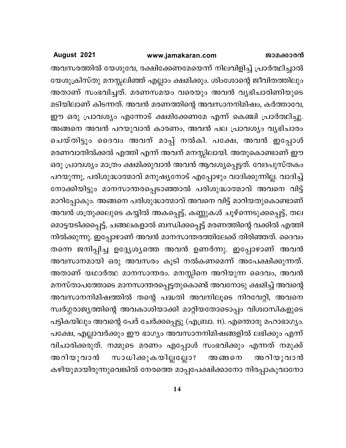### www.jamakaran.com

August 2021

അവസരത്തിൽ യേശുവേ, രക്ഷിക്കേണമേയെന്ന് നിലവിളിച്ച് പ്രാർത്ഥിച്ചാൽ യേശുക്രിസ്തു മനസ്സലിഞ്ഞ് എല്ലാം ക്ഷമിക്കും. ശിംശോന്റെ ജീവിതത്തിലും അതാണ് സംഭവിച്ചത്. മരണസമയം വരെയും അവൻ വ്യഭിചാരിണിയുടെ മടിയിലാണ് കിടന്നത്. അവൻ മരണത്തിന്റെ അവസാനനിമിഷം, കർത്താവേ, ഈ ഒരു പ്രാവശ്യം എന്നോട് ക്ഷമിക്കേണമേ എന്ന് കെഞ്ചി പ്രാർത്ഥിച്ചു. അങ്ങനെ അവൻ പറയുവാൻ കാരണം, അവൻ പല പ്രാവശ്യം വ്യഭിചാരം ചെയ്തിട്ടും ദൈവം അവന് മാപ്പ് നൽകി. പക്ഷേ, അവൻ ഇപ്പോൾ മരണവാതിൽക്കൽ എത്തി എന്ന് അവന് മനസ്സിലായി. അതുകൊണ്ടാണ് ഈ ഒരു പ്രാവശ്യം മാത്രം ക്ഷമിക്കുവാൻ അവൻ ആവശ്യപ്പെട്ടത്. വേദപുസ്തകം പറയുന്നു, പരിശുദ്ധാത്മാവ് മനുഷ്യനോട് എപ്പോഴും വാദിക്കുന്നില്ല. വാദിച്ച് നോക്കിയിട്ടും മാനസാന്തരപ്പെടാഞ്ഞാൽ പരിശുദ്ധാത്മാവ് അവനെ വിട്ട് മാറിപ്പോകും. അങ്ങനെ പരിശുദ്ധാത്മാവ് അവനെ വിട്ട് മാറിയതുകൊണ്ടാണ് അവൻ ശത്രുക്കലുടെ കയ്യിൽ അകപ്പെട്ട്, കണ്ണുകൾ ചൂഴ്നെടുക്കപ്പെട്ട്, തല മൊട്ടയടിക്കപ്പെട്ട്, ചങ്ങലകളാൽ ബന്ധിക്കപ്പെട്ട് മരണത്തിന്റെ വക്കിൽ എത്തി നിൽക്കുന്നു. ഇപ്പോഴാണ് അവൻ മാനസാന്തരത്തിലേക്ക് തിരിഞ്ഞത്. ദൈവം തന്നെ ജനിപ്പിച്ച ഉദ്ദ്യേശ്യത്തെ അവൻ ഉണർന്നു. ഇപ്പോഴാണ് അവൻ അവസാനമായി ഒരു അവസരം കൂടി നൽകണമെന്ന് അപേക്ഷിക്കുന്നത്. അതാണ് യഥാർത്ഥ മാനസാന്തരം. മനസ്സിനെ അറിയുന്ന ദൈവം, അവൻ മനസ്താപത്തോടെ മാനസാന്തരപ്പെട്ടതുകൊണ്ട് അവനോടു ക്ഷമിച്ച് അവന്റെ അവസാനനിമിഷത്തിൽ തന്റെ പദ്ധതി അവനിലൂടെ നിറവേറ്റി, അവനെ സ്വർഗ്ഗരാജ്യത്തിന്റെ അവകാശിയാക്കി മാറ്റിയതോടൊപ്പം വിശ്വാസികളുടെ പട്ടികയിലും അവന്റെ പേര് ചേർക്കപ്പെട്ടു (എബ്രാ. 11). എന്തൊരു മഹാഭാഗ്യം. പക്ഷേ, എല്ലാവർക്കും ഈ ഭാഗ്യം അവസാനനിമിഷങ്ങളിൽ ലഭിക്കും എന്ന് വിചാരിക്കരുത്. നമ്മുടെ മരണം എപ്പോൾ സംഭവിക്കും എന്നത് നമുക്ക് സാധിക്കുകയില്ലല്ലോ? അറിയുവാൻ അറിയുവാൻ അങ്ങനെ കഴിയുമായിരുന്നുവെങ്കിൽ നേരത്തെ മാപ്പപേക്ഷിക്കാനോ നിരപ്പാകുവാനോ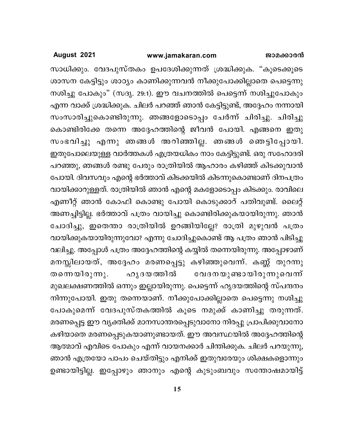### www.jamakaran.com

August 2021

സാധിക്കും. വേദപുസ്തകം ഉപദേശിക്കുന്നത് ശ്രദ്ധിക്കുക. "കൂടെക്കൂടെ ശാസന കേട്ടിട്ടും ശാഠ്യം കാണിക്കുന്നവൻ നീക്കുപോക്കില്ലാതെ പെട്ടെന്നു നശിച്ചു പോകും" (സദൃ. 29:1). ഈ വചനത്തിൽ പെട്ടെന്ന് നശിച്ചുപോകും എന്ന വാക്ക് ശ്രദ്ധിക്കുക. ചിലർ പറഞ്ഞ് ഞാൻ കേട്ടിട്ടുണ്ട്, അദ്ദേഹം നന്നായി സംസാരിച്ചുകൊണ്ടിരുന്നു. ഞങ്ങളോടൊപ്പം ചേർന്ന് ചിരിച്ചു. ചിരിച്ചു കൊണ്ടിരിക്കേ തന്നെ അദ്ദേഹത്തിന്റെ ജീവൻ പോയി. എങ്ങനെ ഇതു സംഭവിച്ചു എന്നു ഞങ്ങൾ അറിഞ്ഞില്ല. ഞങ്ങൾ ഞെട്ടിപ്പോയി. ഇതുപോലെയുള്ള വാർത്തകൾ എത്രയധികം നാം കേട്ടിട്ടുണ്ട്. ഒരു സഹോദരി പറഞ്ഞു, ഞങ്ങൾ രണ്ടു പേരും രാത്രിയിൽ ആഹാരം കഴിഞ്ഞ് കിടക്കുവാൻ പോയി. ദിവസവും എന്റെ ഭർത്താവ് കിടക്കയിൽ കിടന്നുകൊണ്ടാണ് ദിനപത്രം വായിക്കാറുള്ളത്. രാത്രിയിൽ ഞാൻ എന്റെ മകളോടൊപ്പം കിടക്കും. രാവിലെ എണീറ്റ് ഞാൻ കോഫി കൊണ്ടു പോയി കൊടുക്കാറ് പതിവുണ്ട്. ലൈറ്റ് അണച്ചിട്ടില്ല. ഭർത്താവ് പത്രം വായിച്ചു കൊണ്ടിരിക്കുകയായിരുന്നു. ഞാൻ ചോദിച്ചു, ഇതെന്താ രാത്രിയിൽ ഉറങ്ങിയില്ലേ? രാത്രി മുഴുവൻ പത്രം വായിക്കുകയായിരുന്നുവോ? എന്നു ചോദിച്ചുകൊണ്ട് ആ പത്രം ഞാൻ പിടിച്ചു വലിച്ചു. അപ്പോൾ പത്രം അദ്ദേഹത്തിന്റെ കയ്യിൽ തന്നെയിരുന്നു. അപ്പോഴാണ് മനസ്സിലായത്, അദ്ദേഹം മരണപ്പെട്ടു കഴിഞ്ഞുവെന്ന്. കണ്ണ് തുറന്നു ഹൃദയത്തിൽ തന്നെയിരുന്നു. വേദനയുണ്ടായിരുന്നുവെന്ന് മുഖലക്ഷണത്തിൽ ഒന്നും ഇല്ലായിരുന്നു. പെട്ടെന്ന് ഹൃദയത്തിന്റെ സ്പന്ദനം നിന്നുപോയി. ഇതു തന്നെയാണ്. നീക്കുപോക്കില്ലാതെ പെട്ടെന്നു നശിച്ചു പോകുമെന്ന് വേദപുസ്തകത്തിൽ കൂടെ നമുക്ക് കാണിച്ചു തരുന്നത്. മരണപ്പെട്ട ഈ വ്യക്തിക്ക് മാനസാന്തരപ്പെടുവാനോ നിരപ്പു പ്രാപിക്കുവാനോ കഴിയാതെ മരണപ്പെടുകയാണുണ്ടായത്. ഈ അവസ്ഥയിൽ അദ്ദേഹത്തിന്റെ ആത്മാവ് എവിടെ പോകും എന്ന് വായനക്കാർ ചിന്തിക്കുക. ചിലർ പറയുന്നു, ഞാൻ എത്രയോ പാപം ചെയ്തിട്ടും എനിക്ക് ഇതുവരേയും ശിക്ഷകളൊന്നും ഉണ്ടായിട്ടില്ല. ഇപ്പോഴും ഞാനും എന്റെ കുടുംബവും സന്തോഷമായിട്ട്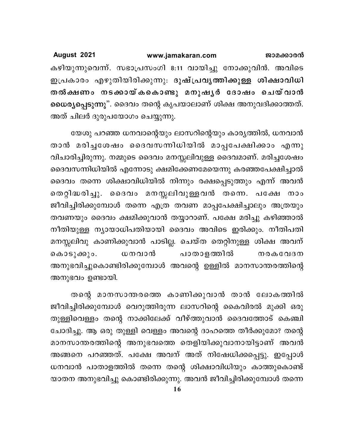August 2021 www.jamakaran.com ജാമക്കാരൻ കഴിയുന്നുവെന്ന്. സഭാപ്രസംഗി 8:11 വായിച്ചു നോക്കുവിൻ. അവിടെ ഇപ്രകാരം എഴുതിയിരിക്കുന്നു. ദുഷ്പ്രവൃത്തിക്കുള്ള ശിക്ഷാവിധി തൽക്ഷണം നടക്കായ്കകൊണ്ടു മനുഷൃർ ദോഷം ചെയ്വാൻ ധൈര്യപ്പെടുന്നു". ദൈവം തന്റെ കൃപയാലാണ് ശിക്ഷ അനുവദിക്കാത്തത്. അത് ചിലർ ദുരുപയോഗം ചെയ്യുന്നു.

യേശു പറഞ്ഞ ധനവാന്റെയും ലാസറിന്റെയും കാര്യത്തിൽ, ധനവാൻ താൻ മരിച്ചശേഷം ദൈവസന്നിധിയിൽ മാപ്പപേക്ഷിക്കാം എന്നു വിചാരിച്ചിരുന്നു. നമ്മുടെ ദൈവം മനസ്സലിവുള്ള ദൈവമാണ്. മരിച്ചശേഷം ദൈവസന്നിധിയിൽ എന്നോടു ക്ഷമിക്കേണമേയെന്നു കരഞ്ഞപേക്ഷിച്ചാൽ ദൈവം തന്നെ ശിക്ഷാവിധിയിൽ നിന്നും രക്ഷപ്പെടുത്തും എന്ന് അവൻ തെറ്റിദ്ധരിച്ചു. ദൈവം മനസ്സലിവുള്ളവൻ തന്നെ. പക്ഷേ നാം ജീവിച്ചിരിക്കുമ്പോൾ തന്നെ എത്ര തവണ മാപ്പപേക്ഷിച്ചാലും അത്രയും തവണയും ദൈവം ക്ഷമിക്കുവാൻ തയ്യാറാണ്. പക്ഷേ മരിച്ചു കഴിഞ്ഞാൽ നീതിയുള്ള ന്യായാധിപതിയായി ദൈവം അവിടെ ഇരിക്കും. നീതിപതി മനസ്സലിവു കാണിക്കുവാൻ പാടില്ല. ചെയ്ത തെറ്റിനുള്ള ശിക്ഷ അവന് ധനവാൻ പാതാളത്തിൽ കൊടുക്കും. **നരകവേദന** അനുഭവിച്ചുകൊണ്ടിരിക്കുമ്പോൾ അവന്റെ ഉള്ളിൽ മാനസാന്തരത്തിന്റെ അനുഭവം ഉണ്ടായി.

തന്റെ മാനസാന്തരത്തെ കാണിക്കുവാൻ താൻ ലോകത്തിൽ ജീവിച്ചിരിക്കുമ്പോൾ വെറുത്തിരുന്ന ലാസറിന്റെ കൈവിരൽ മുക്കി ഒരു തുള്ളിവെള്ളം തന്റെ നാക്കിലേക്ക് വീഴ്ത്തുവാൻ ദൈവത്തോട് കെഞ്ചി ചോദിച്ചു. ആ ഒരു തുള്ളി വെള്ളം അവന്റെ ദാഹത്തെ തീർക്കുമോ? തന്റെ മാനസാന്തരത്തിന്റെ അനുഭവത്തെ തെളിയിക്കുവാനായിട്ടാണ് അവൻ അങ്ങനെ പറഞ്ഞത്. പക്ഷേ അവന് അത് നിഷേധിക്കപ്പെട്ടു. ഇപ്പോൾ ധനവാൻ പാതാളത്തിൽ തന്നെ തന്റെ ശിക്ഷാവിധിയും കാത്തുകൊണ്ട് യാതന അനുഭവിച്ചു കൊണ്ടിരിക്കുന്നു. അവൻ ജീവിച്ചിരിക്കുമ്പോൾ തന്നെ

16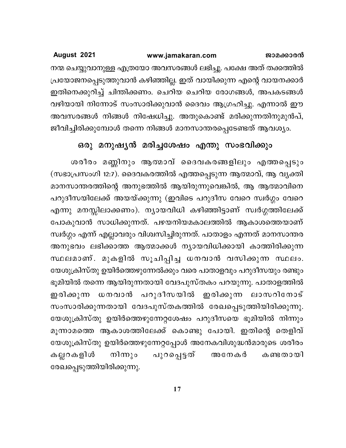നന്മ ചെയ്യുവാനുള്ള എത്രയോ അവസരങ്ങൾ ലഭിച്ചു. പക്ഷേ അത് തക്കത്തിൽ പ്രയോജനപ്പെടുത്തുവാൻ കഴിഞ്ഞില്ല. ഇത് വായിക്കുന്ന എന്റെ വായനക്കാർ ഇതിനെക്കുറിച്ച് ചിന്തിക്കണം. ചെറിയ ചെറിയ രോഗങ്ങൾ, അപകടങ്ങൾ വഴിയായി നിന്നോട് സംസാരിക്കുവാൻ ദൈവം ആഗ്രഹിച്ചു. എന്നാൽ ഈ അവസരങ്ങൾ നിങ്ങൾ നിഷേധിച്ചു. അതുകൊണ്ട് മരിക്കുന്നതിനുമുൻപ്, ജീവിച്ചിരിക്കുമ്പോൾ തന്നെ നിങ്ങൾ മാനസാന്തരപ്പെടേണ്ടത് ആവശ്യം.

# ഒരു മനുഷ്യൻ മരിച്ചശേഷം എന്തു സംഭവിക്കും

ശരീരം മണ്ണിനും ആത്മാവ് ദൈവകരങ്ങളിലും എത്തപ്പെടും (സഭാപ്രസംഗി 12:7). ദൈവകരത്തിൽ എത്തപ്പെടുന്ന ആത്മാവ്, ആ വൃക്തി മാനസാന്തരത്തിന്റെ അനുഭത്തിൽ ആയിരുന്നുവെങ്കിൽ, ആ ആത്മാവിനെ പറുദീസയിലേക്ക് അയയ്ക്കുന്നു (ഇവിടെ പറുദീസ വേറെ സ്വർഗ്ഗം വേറെ എന്നു മനസ്സിലാക്കണം). ന്യായവിധി കഴിഞ്ഞിട്ടാണ് സ്വർഗ്ഗത്തിലേക്ക് പോകുവാൻ സാധിക്കുന്നത്. പഴയനിയമകാലത്തിൽ ആകാശത്തെയാണ് സ്വർഗ്ഗം എന്ന് എല്ലാവരും വിശ്വസിച്ചിരുന്നത്. പാതാളം എന്നത് മാനസാന്തര അനുഭവം ലഭിക്കാത്ത ആത്മാക്കൾ ന്യായവിധിക്കായി കാത്തിരിക്കുന്ന സ്ഥലമാണ്. മുകളിൽ സൂചിപ്പിച്ച ധനവാൻ വസിക്കുന്ന സ്ഥലം. യേശുക്രിസ്തു ഉയിർത്തെഴുന്നേൽക്കും വരെ പാതാളവും പറുദീസയും രണ്ടും ഭൂമിയിൽ തന്നെ ആയിരുന്നതായി വേദപുസ്തകം പറയുന്നു. പാതാളത്തിൽ ഇരിക്കുന്ന ധനവാൻ പറുദീസയിൽ ഇരിക്കുന്ന ലാസറിനോട് സംസാരിക്കുന്നതായി വേദപുസ്തകത്തിൽ രേഖപ്പെടുത്തിയിരിക്കുന്നു. യേശുക്രിസ്തു ഉയിർത്തെഴുന്നേറ്റശേഷം പറുദീസയെ ഭൂമിയിൽ നിന്നും മൂന്നാമത്തെ ആകാശത്തിലേക്ക് കൊണ്ടു പോയി. ഇതിന്റെ തെളിവ് യേശുക്രിസ്തു ഉയിർത്തെഴുന്നേറ്റപ്പോൾ അനേകവിശുദ്ധൻമാരുടെ ശരീരം പുറപ്പെട്ടത് കല്ലറകളിൾ നിന്നും അനേകർ കണ്ടതായി രേഖപ്പെടുത്തിയിരിക്കുന്നു.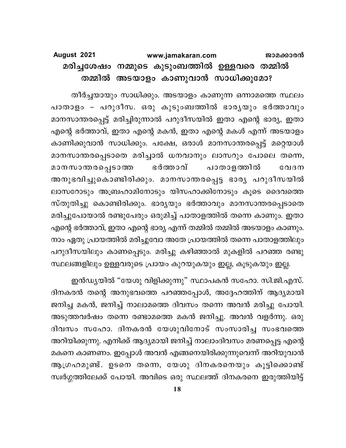### August 2021 www.jamakaran.com ജാമക്കാരൻ മരിച്ചശേഷം നമ്മുടെ കുടുംബത്തിൽ ഉള്ളവരെ തമ്മിൽ തമ്മിൽ അടയാളം കാണുവാൻ സാധിക്കുമോ?

തീർച്ചയായും സാധിക്കും. അടയാളം കാണുന്ന ഒന്നാമത്തെ സ്ഥലം പാതാളം – പറുദീസ. ഒരു കുടുംബത്തിൽ ഭാരൃയും ഭർത്താവും മാനസാന്തരപ്പെട്ട് മരിച്ചിരുന്നാൽ പറുദീസയിൽ ഇതാ എന്റെ ഭാര്യ, ഇതാ എന്റെ ഭർത്താവ്, ഇതാ എന്റെ മകൻ, ഇതാ എന്റെ മകൾ എന്ന് അടയാളം കാണിക്കുവാൻ സാധിക്കും. പക്ഷേ, ഒരാൾ മാനസാന്തരപ്പെട്ട് മറ്റെയാൾ മാനസാന്തരപ്പെടാതെ മരിച്ചാൽ ധനവാനും ലാസറും പോലെ തന്നെ, മാനസാന്തരപ്പെടാത്ത ഭർത്താവ് പാതാളത്തിൽ  $CQ1BO$ അനുഭവിച്ചുകൊണ്ടിരിക്കും. മാനസാന്തരപ്പെട്ട ഭാര്യ പറുദീസയിൽ ലാസറോടും അബ്രഹാമിനോടും യിസഹാക്കിനോടും കൂടെ ദൈവത്തെ സ്തുതിച്ചു കൊണ്ടിരിക്കും. ഭാര്യയും ഭർത്താവും മാനസാന്തരപ്പെടാതെ മരിച്ചുപോയാൽ രണ്ടുപേരും ഒരുമിച്ച് പാതാളത്തിൽ തന്നെ കാണും. ഇതാ എന്റെ ഭർത്താവ്, ഇതാ എന്റെ ഭാര്യ എന്ന് തമ്മിൽ തമ്മിൽ അടയാളം കാണും. നാം ഏതു പ്രായത്തിൽ മരിച്ചുവോ അതേ പ്രായത്തിൽ തന്നെ പാതാളത്തിലും പറുദീസയിലും കാണപ്പെടും. മരിച്ചു കഴിഞ്ഞാൽ മുകളിൽ പറഞ്ഞ രണ്ടു സ്ഥലങ്ങളിലും ഉള്ളവരുടെ പ്രായം കുറയുകയും ഇല്ല, കൂടുകയും ഇല്ല.

ഇൻഡ്യയിൽ "യേശു വിളിക്കുന്നു" സ്ഥാപകൻ സഹോ. സി.ജി.എസ്. ദിനകരൻ തന്റെ അനുഭവത്തെ പറഞ്ഞപ്പോൾ, അദ്ദേഹത്തിന് ആദ്യമായി ജനിച്ച മകൻ, ജനിച്ച് നാലാമത്തെ ദിവസം തന്നെ അവൻ മരിച്ചു പോയി. അടുത്തവർഷം തന്നെ രണ്ടാമത്തെ മകൻ ജനിച്ചു. അവൻ വളർന്നു. ഒരു ദിവസം സഹോ. ദിനകരൻ യേശുവിനോട് സംസാരിച്ച സംഭവത്തെ അറിയിക്കുന്നു. എനിക്ക് ആദ്യമായി ജനിച്ച് നാലാംദിവസം മരണപ്പെട്ട എന്റെ മകനെ കാണണം. ഇപ്പോൾ അവൻ എങ്ങനെയിരിക്കുന്നുവെന്ന് അറിയുവാൻ ആഗ്രഹമുണ്ട്. ഉടനെ തന്നെ, യേശു ദിനകരനെയും കൂട്ടിക്കൊണ്ട് സ്വർഗ്ഗത്തിലേക്ക് പോയി. അവിടെ ഒരു സ്ഥലത്ത് ദിനകരനെ ഇരുത്തിയിട്ട്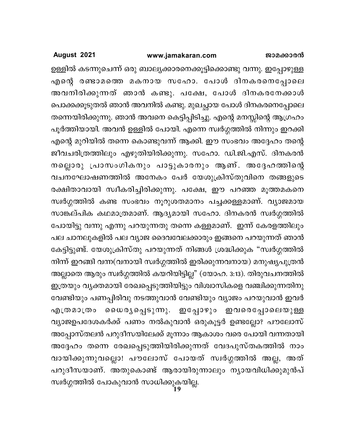### www.jamakaran.com

August 2021

ഉള്ളിൽ കടന്നുചെന്ന് ഒരു ബാല്യക്കാരനെക്കൂട്ടിക്കൊണ്ടു വന്നു. ഇപ്പോഴുള്ള എന്റെ രണ്ടാമത്തെ മകനായ സഹോ. പോൾ ദിനകരനെപ്പോലെ അവനിരിക്കുന്നത് ഞാൻ കണ്ടു. പക്ഷേ, പോൾ ദിനകരനേക്കാൾ പൊക്കക്കൂടുതൽ ഞാൻ അവനിൽ കണ്ടു. മുഖച്ഛായ പോൾ ദിനകരനെപ്പോലെ തന്നെയിരിക്കുന്നു. ഞാൻ അവനെ കെട്ടിപ്പിടിച്ചു. എന്റെ മനസ്സിന്റെ ആഗ്രഹം പൂർത്തിയായി. അവൻ ഉള്ളിൽ പോയി. എന്നെ സ്വർഗ്ഗത്തിൽ നിന്നും ഇറക്കി എന്റെ മുറിയിൽ തന്നെ കൊണ്ടുവന്ന് ആക്കി. ഈ സംഭവം അദ്ദേഹം തന്റെ ജീവചരിത്രത്തിലും എഴുതിയിരിക്കുന്നു. സഹോ. ഡി.ജി.എസ്. ദിനകരൻ നല്ലൊരു പ്രാസംഗികനും പാട്ടുകാരനും ആണ്. അദ്ദേഹത്തിന്റെ വചനഘോഷണത്തിൽ അനേകം പേർ യേശുക്രിസ്തുവിനെ തങ്ങളുടെ രക്ഷിതാവായി സ്വീകരിച്ചിരിക്കുന്നു. പക്ഷേ, ഈ പറഞ്ഞ മൂത്തമകനെ സ്വർഗ്ഗത്തിൽ കണ്ട സംഭവം നൂറുശതമാനം പച്ചക്കള്ളമാണ്. വ്യാജമായ സാങ്കല്പിക കഥമാത്രമാണ്. ആദ്യമായി സഹോ. ദിനകരൻ സ്വർഗ്ഗത്തിൽ പോയിട്ടു വന്നു എന്നു പറയുന്നതു തന്നെ കള്ളമാണ്. ഇന്ന് കേരളത്തിലും പല ചാനലുകളിൽ പല വ്യാജ ദൈവവേലക്കാരും ഇങ്ങനെ പറയുന്നത് ഞാൻ കേട്ടിട്ടുണ്ട്. യേശുക്രിസ്തു പറയുന്നത് നിങ്ങൾ ശ്രദ്ധിക്കുക "സ്വർഗ്ഗത്തിൽ നിന്ന് ഇറങ്ങി വന്ന(വനായി സ്വർഗ്ഗത്തിൽ ഇരിക്കുന്നവനായ) മനുഷ്യപുത്രൻ അല്ലാതെ ആരും സ്വർഗ്ഗത്തിൽ കയറിയിട്ടില്ല" (യോഹ. 3:13). തിരുവചനത്തിൽ ഇത്രയും വൃക്തമായി രേഖപ്പെടുത്തിയിട്ടും വിശ്വാസികളെ വഞ്ചിക്കുന്നതിനു വേണ്ടിയും പണപ്പിരിവു നടത്തുവാൻ വേണ്ടിയും വ്യാജം പറയുവാൻ ഇവർ എത്രമാത്രം ധൈര്യപ്പെടുന്നു. ഇപ്പോഴും ഇവരെപ്പോലെയുള്ള വ്യാജഉപദേശകർക്ക് പണം നൽകുവാൻ ഒരുകൂട്ടർ ഉണ്ടല്ലോ? പൗലോസ് അപ്പോസ്തലൻ പറുദീസയിലേക്ക് മൂന്നാം ആകാശം വരെ പോയി വന്നതായി അദ്ദേഹം തന്നെ രേഖപ്പെടുത്തിയിരിക്കുന്നത് വേദപുസ്തകത്തിൽ നാം വായിക്കുന്നുവല്ലൊ! പൗലോസ് പോയത് സ്വർഗ്ഗത്തിൽ അല്ല, അത് പറുദീസയാണ്. അതുകൊണ്ട് ആരായിരുന്നാലും ന്യായവിധിക്കുമുൻപ് സ്വർഗ്ഗത്തിൽ പോകുവാൻ സാധിക്കുകയില്ല.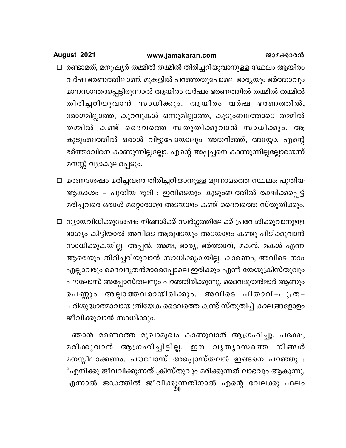- □ രണ്ടാമത്, മനുഷ്യർ തമ്മിൽ തമ്മിൽ തിരിച്ചറിയുവാനുള്ള സ്ഥലം ആയിരം വർഷ ഭരണത്തിലാണ്. മുകളിൽ പറഞ്ഞതുപോലെ ഭാര്യയും ഭർത്താവും മാനസാന്തരപ്പെട്ടിരുന്നാൽ ആയിരം വർഷം ഭരണത്തിൽ തമ്മിൽ തമ്മിൽ തിരിച്ചറിയുവാൻ സാധിക്കും. ആയിരം വർഷ ഭരണത്തിൽ, രോഗമില്ലാത്ത, കുറവുകൾ ഒന്നുമില്ലാത്ത, കുടുംബത്തോടെ തമ്മിൽ തമ്മിൽ കണ്ട് ദൈവത്തെ സ്തുതിക്കുവാൻ സാധിക്കും. ആ കുടുംബത്തിൽ ഒരാൾ വിട്ടുപോയാലും അതറിഞ്ഞ്, അയ്യോ, എന്റെ ഭർത്താവിനെ കാണുന്നില്ലല്ലോ, എന്റെ അപ്പച്ചനെ കാണുന്നില്ലല്ലോയെന്ന് മനസ്സ് വ്യാകുലപ്പെടും.
- □ മരണശേഷം മരിച്ചവരെ തിരിച്ചറിയാനുള്ള മൂന്നാമത്തെ സ്ഥലം: പുതിയ ആകാശം – പുതിയ ഭൂമി : ഇവിടെയും കുടുംബത്തിൽ രക്ഷിക്കപ്പെട്ട് മരിച്ചവരെ ഒരാൾ മറ്റൊരാളെ അടയാളം കണ്ട് ദൈവത്തെ സ്തുതിക്കും.
- □ ന്യായവിധിക്കുശേഷം നിങ്ങൾക്ക് സ്വർഗ്ഗത്തിലേക്ക് പ്രവേശിക്കുവാനുള്ള ഭാഗ്യം കിട്ടിയാൽ അവിടെ ആരുടേയും അടയാളം കണ്ടു പിടിക്കുവാൻ സാധിക്കുകയില്ല. അപ്പൻ, അമ്മ, ഭാര്യ, ഭർത്താവ്, മകൻ, മകൾ എന്ന് ആരെയും തിരിച്ചറിയുവാൻ സാധിക്കുകയില്ല. കാരണം, അവിടെ നാം എല്ലാവരും ദൈവദൂതൻമാരെപ്പോലെ ഇരിക്കും എന്ന് യേശുക്രിസ്തുവും പൗലോസ് അപ്പോസ്തലനും പറഞ്ഞിരിക്കുന്നു. ദൈവദൂതൻമാർ ആണും പെണ്ണും അല്ലാത്തവരായിരിക്കും. അവിടെ പിതാവ്-പുത്ര-പരിശുദ്ധാത്മാവായ ത്രിയേക ദൈവത്തെ കണ്ട് സ്തുതിച്ച് കാലങ്ങളോളം ജീവിക്കുവാൻ സാധിക്കും.

ഞാൻ മരണത്തെ മുഖാമുഖം കാണുവാൻ ആഗ്രഹിച്ചു. പക്ഷേ, മരിക്കുവാൻ ആഗ്രഹിച്ചിട്ടില്ല. ഈ വൃതൃാസത്തെ നിങ്ങൾ മനസ്സിലാക്കണം. പൗലോസ് അപ്പൊസ്തലൻ ഇങ്ങനെ പറഞ്ഞു : "എനിക്കു ജീവവിക്കുന്നത് ക്രിസ്തുവും മരിക്കുന്നത് ലാഭവും ആകുന്നു. എന്നാൽ ജഡത്തിൽ ജീവിക്കുന്നതിനാൽ എന്റെ വേലക്കു ഫലം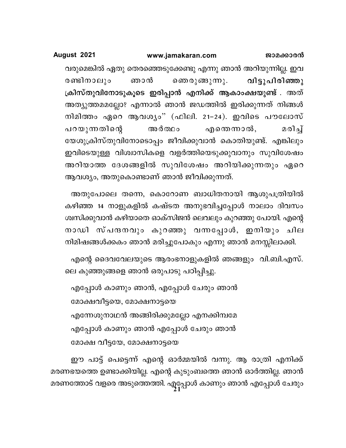വരുമെങ്കിൽ ഏതു തെരഞ്ഞെടുക്കേണ്ടു എന്നു ഞാൻ അറിയുന്നില്ല. ഇവ രണ്ടിനാലും ഞാൻ ഞെരുങ്ങുന്നു. വിട്ടുപിരിഞ്ഞു ക്രിസ്തുവിനോടുകൂടെ ഇരിപ്പാൻ എനിക്ക് ആകാംക്ഷയുണ്ട് . അത് അത്യുത്തമമല്ലോ? എന്നാൽ ഞാൻ ജഡത്തിൽ ഇരിക്കുന്നത് നിങ്ങൾ നിമിത്തം ഏറെ ആവശ്യം" (ഫിലി. 21-24). ഇവിടെ പൗലോസ് മരിച്ച് പറയുന്നതിന്റെ അർത്ഥം എന്തെന്നാൽ, യേശുക്രിസ്തുവിനോടൊപ്പം ജീവിക്കുവാൻ കൊതിയുണ്ട്. എങ്കിലും ഇവിടെയുള്ള വിശ്വാസികളെ വളർത്തിയെടുക്കുവാനും സുവിശേഷം അറിയാത്ത ദേശങ്ങളിൽ സുവിശേഷം അറിയിക്കുന്നതും ഏറെ ആവശ്യം, അതുകൊണ്ടാണ് ഞാൻ ജീവിക്കുന്നത്.

അതുപോലെ തന്നെ, കൊറോണ ബാധിതനായി ആശുപത്രിയിൽ കഴിഞ്ഞ 14 നാളുകളിൽ കഷ്ടത അനുഭവിച്ചപ്പോൾ നാലാം ദിവസം ശ്വസിക്കുവാൻ കഴിയാതെ ഓക്സിജൻ ലെവലും കുറഞ്ഞു പോയി. എന്റെ നാഡി സ്പന്ദനവും കുറഞ്ഞു വന്നപ്പോൾ, ഇനിയും ചില നിമിഷങ്ങൾക്കകം ഞാൻ മരിച്ചുപോകും എന്നു ഞാൻ മനസ്സിലാക്കി.

എന്റെ ദൈവവേലയുടെ ആരംഭനാളുകളിൽ ഞങ്ങളും വി.ബി.എസ്. ലെ കുഞ്ഞുങ്ങളെ ഞാൻ ഒരുപാടു പഠിപ്പിച്ചു.

എപ്പോൾ കാണും ഞാൻ, എപ്പോൾ ചേരും ഞാൻ മോക്ഷവീട്ടയെ, മോക്ഷനാട്ടയെ എന്നേശുനാഥൻ അങ്ങിരിക്കുമല്ലോ എനക്കിമ്പമേ എപ്പോൾ കാണും ഞാൻ എപ്പോൾ ചേരും ഞാൻ മോക്ഷ വീട്ടയേ, മോക്ഷനാട്ടയെ

ഈ പാട്ട് പെട്ടെന്ന് എന്റെ ഓർമ്മയിൽ വന്നു. ആ രാത്രി എനിക്ക് മരണഭയത്തെ ഉണ്ടാക്കിയില്ല. എന്റെ കുടുംബത്തെ ഞാൻ ഓർത്തില്ല. ഞാൻ മരണത്തോട് വളരെ അടുത്തെത്തി. എപ്പോൾ കാണും ഞാൻ എപ്പോൾ ചേരും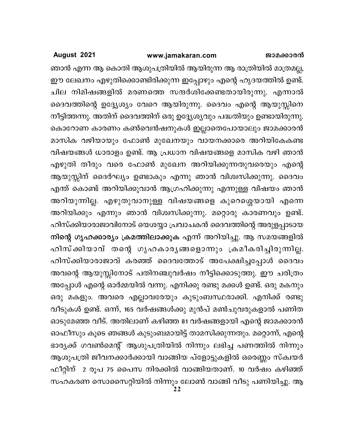### www.jamakaran.com

August 2021

ഞാൻ എന്ന ആ കൊതി ആശുപത്രിയിൽ ആയിരുന്ന ആ രാത്രിയിൽ മാത്രമല്ല, ഈ ലേഖനം എഴുതിക്കൊണ്ടിരിക്കുന്ന ഇപ്പോഴും എന്റെ ഹൃദയത്തിൽ ഉണ്ട്. ചില നിമിഷങ്ങളിൽ മരണത്തെ സന്ദർശിക്കേണ്ടതായിരുന്നു. എന്നാൽ ദൈവത്തിന്റെ ഉദ്ദ്യേശ്യം വേറെ ആയിരുന്നു. ദൈവം എന്റെ ആയുസ്സിനെ നീട്ടിത്തന്നു. അതിന് ദൈവത്തിന് ഒരു ഉദ്ദ്യേശ്യവും പദ്ധതിയും ഉണ്ടായിരുന്നു. കൊറോണ കാരണം കൺവെൻഷനുകൾ ഇല്ലാതെപോയാലും ജാമക്കാരൻ മാസിക വഴിയായും ഫോൺ മുഖേനയും വായനക്കാരെ അറിയികേകണ്ട വിഷയങ്ങൾ ധാരാളം ഉണ്ട്. ആ പ്രധാന വിഷയങ്ങളെ മാസിക വഴി ഞാൻ എഴുതി തീരും വരെ ഫോൺ മുഖേന അറിയിക്കുന്നതുവരെയും എന്റെ ആയുസ്സിന് ദൈർഘ്യം ഉണ്ടാകും എന്നു ഞാൻ വിശ്വസിക്കുന്നു. ദൈവം എന്ത് കൊണ്ട് അറിയിക്കുവാൻ ആഗ്രഹിക്കുന്നു എന്നുള്ള വിഷയം ഞാൻ അറിയുന്നില്ല. എഴുതുവാനുള്ള വിഷയങ്ങളെ കുറെശ്ശെയായി എന്നെ അറിയിക്കും എന്നും ഞാൻ വിശ്വസിക്കുന്നു. മറ്റൊരു കാരണവും ഉണ്ട്. ഹിസ്ക്കിയാരാജാവിനോട് യെശയ്യാ പ്രവാചകൻ ദൈവത്തിന്റെ അരുളപ്പാടായ നിന്റെ ഗൃഹക്കാര്യം ക്രമത്തിലാക്കുക എന്ന് അറിയിച്ചു. ആ സമയങ്ങളിൽ ഹിസ്ക്കിയാവ് തന്റെ ഗൃഹകാരൃങ്ങളൊന്നും ക്രമീകരിച്ചിരുന്നില്ല. ഹിസ്ക്കിയാരാജാവ് കരഞ്ഞ് ദൈവത്തോട് അപേക്ഷിച്ചപ്പോൾ ദൈവം അവന്റെ ആയുസ്സിനോട് പതിനഞ്ചുവർഷം നീട്ടിക്കൊടുത്തു. ഈ ചരിത്രം അപ്പോൾ എന്റെ ഓർമ്മയിൽ വന്നു. എനിക്കു രണ്ടു മക്കൾ ഉണ്ട്. ഒരു മകനും ഒരു മകളും. അവരെ എല്ലാവരേയും കുടുംബസ്ഥരാക്കി. എനിക്ക് രണ്ടു വീടുകൾ ഉണ്ട്. ഒന്ന്, 165 വർഷങ്ങൾക്കു മുൻപ് മൺചുവരുകളാൽ പണിത ഓടുമേഞ്ഞ വീട്. അതിലാണ് കഴിഞ്ഞ 81 വർഷങ്ങളായി എന്റെ ജാമക്കാരൻ ഓഫീസും കൂടെ ഞങ്ങൾ കുടുംബമായിട്ട് താമസിക്കുന്നതും. മറ്റൊന്ന്, എന്റെ ഭാര്യക്ക് ഗവൺമെന്റ് ആശുപത്രിയിൽ നിന്നും ലഭിച്ച പണത്തിൽ നിന്നും ആശുപത്രി ജീവനക്കാർക്കായി വാങ്ങിയ പ്ളോട്ടുകളിൽ ഒരെണ്ണം സ്ക്വയർ ഫീറ്റിന് 2 രൂപ 75 പൈസ നിരക്കിൽ വാങ്ങിയതാണ്. 10 വർഷം കഴിഞ്ഞ് സഹകരണ സൊസൈറ്റിയിൽ നിന്നും ലോൺ വാങ്ങി വീടു പണിയിച്ചു. ആ<br>22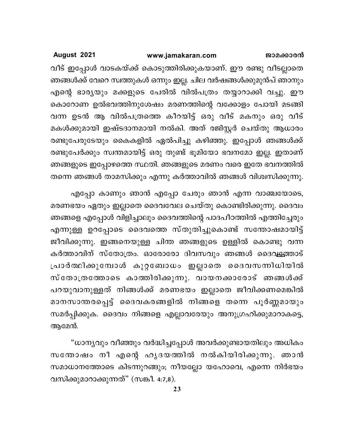വീട് ഇപ്പോൾ വാടകയ്ക്ക് കൊടുത്തിരിക്കുകയാണ്. ഈ രണ്ടു വീടല്ലാതെ ഞങ്ങൾക്ക് വേറെ സ്വത്തുകൾ ഒന്നും ഇല്ല. ചില വർഷങ്ങൾക്കുമുൻപ് ഞാനും എന്റെ ഭാര്യയും മക്കളുടെ പേരിൽ വിൽപത്രം തയ്യാറാക്കി വച്ചു. ഈ കൊറോണ ഉൽഭവത്തിനുശേഷം മരണത്തിന്റെ വക്കോളം പോയി മടങ്ങി വന്ന ഉടൻ ആ വിൽപത്രത്തെ കീറയിട്ട് ഒരു വീട് മകനും ഒരു വീട് മകൾക്കുമായി ഇഷ്ടദാനമായി നൽകി. അത് രജിസ്റ്റർ ചെയ്തു ആധാരം രണ്ടുപേരുടേയും കൈകളിൽ ഏൽപിച്ചു കഴിഞ്ഞു. ഇപ്പോൾ ഞങ്ങൾക്ക് രണ്ടുപേർക്കും സ്വന്തമായിട്ട് ഒരു തുണ്ട് ഭൂമിയോ ഭവനമോ ഇല്ല. ഇതാണ് ഞങ്ങളുടെ ഇപ്പോഴത്തെ സ്ഥതി. ഞങ്ങളുടെ മരണം വരെ ഇതേ ഭവനത്തിൽ തന്നെ ഞങ്ങൾ താമസിക്കും എന്നു കർത്താവിൽ ഞങ്ങൾ വിശ്വസിക്കുന്നു.

എപ്പോ കാണും ഞാൻ എപ്പോ ചേരും ഞാൻ എന്ന വാഞ്ചയോടെ, മരണഭയം ഏതും ഇല്ലാതെ ദൈവവേല ചെയ്തു കൊണ്ടിരിക്കുന്നു. ദൈവം ഞങ്ങളെ എപ്പോൾ വിളിച്ചാലും ദൈവത്തിന്റെ പാദപീഠത്തിൽ എത്തിച്ചേരും എന്നുള്ള ഉറപ്പോടെ ദൈവത്തെ സ്തുതിച്ചുകൊണ്ട് സന്തോഷമായിട്ട് ജീവിക്കുന്നു. ഇങ്ങനെയുള്ള ചിന്ത ഞങ്ങളുടെ ഉള്ളിൽ കൊണ്ടു വന്ന കർത്താവിന് സ്തോത്രം. ഓരോരോ ദിവസവും ഞങ്ങൾ ദൈവ<del>്യ</del>ത്താട് പ്രാർത്ഥിക്കുമ്പോൾ കുറ്റബോധം ഇല്ലാതെ ദൈവസന്നിധിയിൽ സ് തോത്രത്തോടെ കാത്തിരിക്കുന്നു. വായനക്കാരോട് ഞങ്ങൾക്ക് പറയുവാനുള്ളത് നിങ്ങൾക്ക് മരണഭയം ഇല്ലാതെ ജീവിക്കണമെങ്കിൽ മാനസാന്തരപ്പെട്ട് ദൈവകരങ്ങളിൽ നിങ്ങളെ തന്നെ പൂർണ്ണമായും സമർപ്പിക്കുക. ദൈവം നിങ്ങളെ എല്ലാവരേയും അനുഗ്രഹിക്കുമാറാകട്ടെ, ആമേൻ.

"ധാന്യവും വീഞ്ഞും വർദ്ധിച്ചപ്പോൾ അവർക്കുണ്ടായതിലും അധികം സന്തോഷം നീ എന്റെ ഹൃദയത്തിൽ നൽകിയിരിക്കുന്നു. ഞാൻ സമാധാനത്തോടെ കിടന്നുറങ്ങും; നീയല്ലോ യഹോവെ, എന്നെ നിർഭയം വസിക്കുമാറാക്കുന്നത്" (സങ്കീ. 4:7,8).

23